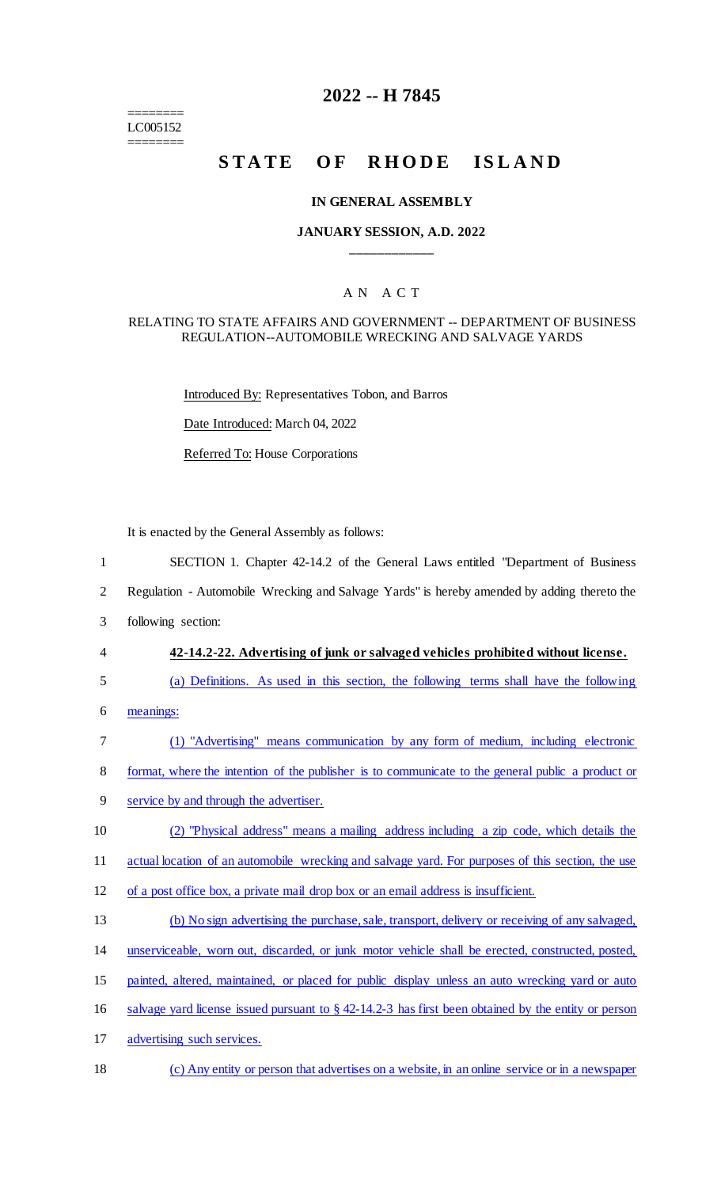======== LC005152 ========

# **2022 -- H 7845**

# STATE OF RHODE ISLAND

#### **IN GENERAL ASSEMBLY**

### **JANUARY SESSION, A.D. 2022 \_\_\_\_\_\_\_\_\_\_\_\_**

## A N A C T

#### RELATING TO STATE AFFAIRS AND GOVERNMENT -- DEPARTMENT OF BUSINESS REGULATION--AUTOMOBILE WRECKING AND SALVAGE YARDS

Introduced By: Representatives Tobon, and Barros

Date Introduced: March 04, 2022

Referred To: House Corporations

It is enacted by the General Assembly as follows:

1 SECTION 1. Chapter 42-14.2 of the General Laws entitled "Department of Business

2 Regulation - Automobile Wrecking and Salvage Yards" is hereby amended by adding thereto the

- 3 following section:
	-

## 4 **42-14.2-22. Advertising of junk or salvaged vehicles prohibited without license.**

- 5 (a) Definitions. As used in this section, the following terms shall have the following
- 6 meanings:
- 7 (1) "Advertising" means communication by any form of medium, including electronic

8 format, where the intention of the publisher is to communicate to the general public a product or

9 service by and through the advertiser.

10 (2) "Physical address" means a mailing address including a zip code, which details the

11 actual location of an automobile wrecking and salvage yard. For purposes of this section, the use

- 12 of a post office box, a private mail drop box or an email address is insufficient.
- 13 (b) No sign advertising the purchase, sale, transport, delivery or receiving of any salvaged,
- 14 unserviceable, worn out, discarded, or junk motor vehicle shall be erected, constructed, posted,
- 15 painted, altered, maintained, or placed for public display unless an auto wrecking yard or auto
- 16 salvage yard license issued pursuant to § 42-14.2-3 has first been obtained by the entity or person
- 17 advertising such services.
- 18 (c) Any entity or person that advertises on a website, in an online service or in a newspaper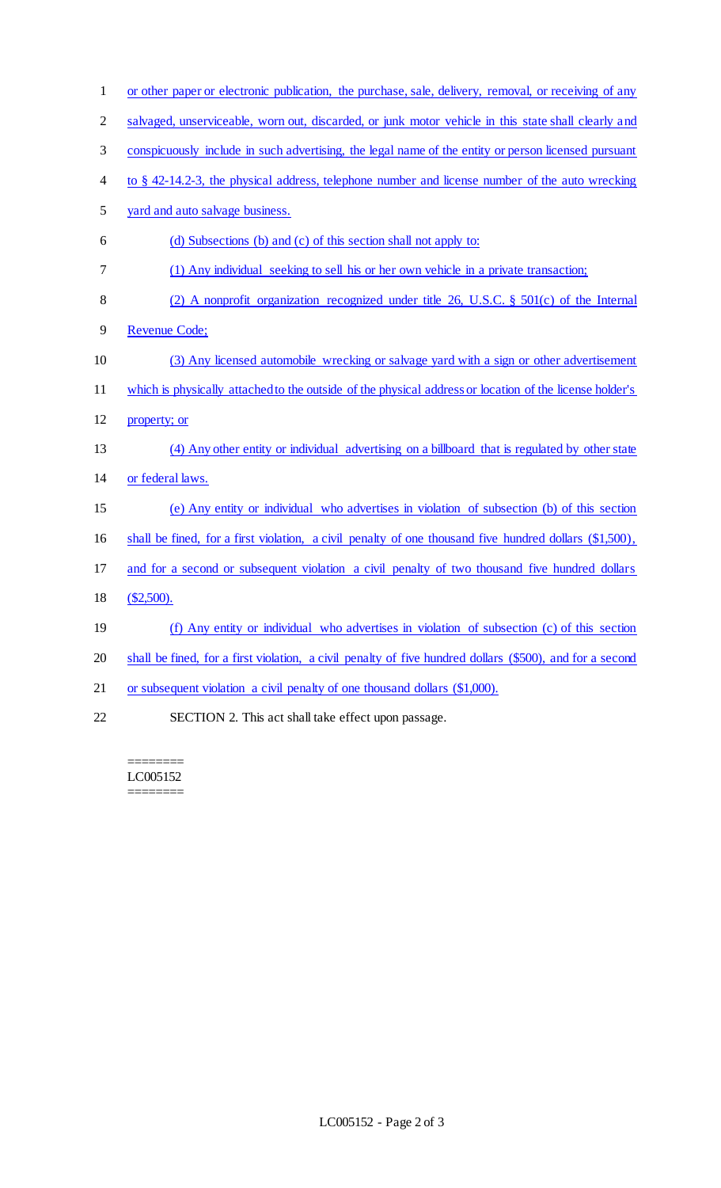| $\mathbf{1}$   | or other paper or electronic publication, the purchase, sale, delivery, removal, or receiving of any     |
|----------------|----------------------------------------------------------------------------------------------------------|
| $\overline{2}$ | salvaged, unserviceable, worn out, discarded, or junk motor vehicle in this state shall clearly and      |
| 3              | conspicuously include in such advertising, the legal name of the entity or person licensed pursuant      |
| 4              | to $\S$ 42-14.2-3, the physical address, telephone number and license number of the auto wrecking        |
| 5              | yard and auto salvage business.                                                                          |
| 6              | (d) Subsections (b) and (c) of this section shall not apply to:                                          |
| 7              | (1) Any individual seeking to sell his or her own vehicle in a private transaction;                      |
| 8              | (2) A nonprofit organization recognized under title 26, U.S.C. $\S$ 501(c) of the Internal               |
| 9              | <b>Revenue Code;</b>                                                                                     |
| 10             | (3) Any licensed automobile wrecking or salvage yard with a sign or other advertisement                  |
| 11             | which is physically attached to the outside of the physical address or location of the license holder's  |
| 12             | property; or                                                                                             |
| 13             | (4) Any other entity or individual advertising on a billboard that is regulated by other state           |
| 14             | or federal laws.                                                                                         |
| 15             | (e) Any entity or individual who advertises in violation of subsection (b) of this section               |
| 16             | shall be fined, for a first violation, a civil penalty of one thousand five hundred dollars (\$1,500),   |
| 17             | and for a second or subsequent violation a civil penalty of two thousand five hundred dollars            |
| 18             | $(\$2,500).$                                                                                             |
| 19             | (f) Any entity or individual who advertises in violation of subsection (c) of this section               |
| 20             | shall be fined, for a first violation, a civil penalty of five hundred dollars (\$500), and for a second |
| 21             | or subsequent violation a civil penalty of one thousand dollars (\$1,000).                               |
|                |                                                                                                          |

22 SECTION 2. This act shall take effect upon passage.

 $=$ LC005152 ========